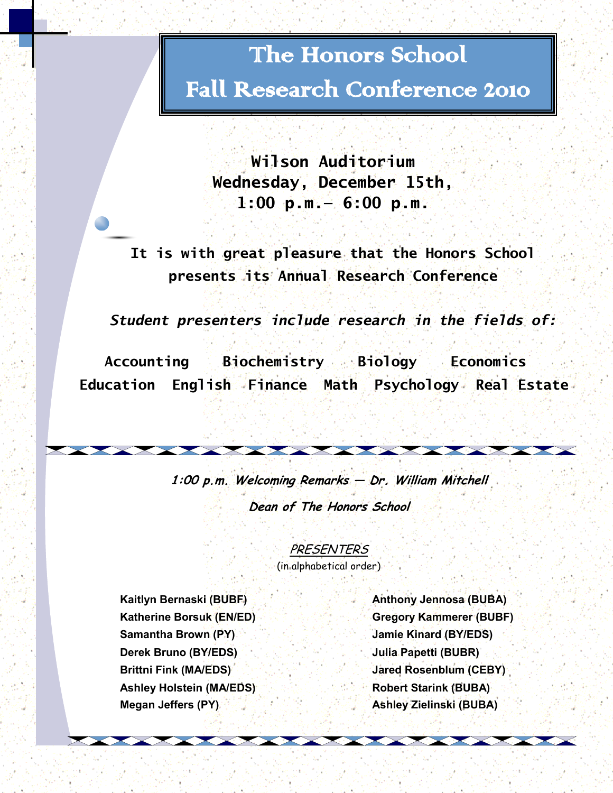# The Honors School

# Fall Research Conference 2010

**Wilson Auditorium Wednesday, December 15th, 1:00 p.m.— 6:00 p.m.**

**It is with great pleasure that the Honors School presents its Annual Research Conference**

*Student presenters include research in the fields of:*

 **Accounting Biochemistry Biology Economics Education English Finance Math Psychology Real Estate** 

> **1:00 p.m. Welcoming Remarks — Dr. William Mitchell Dean of The Honors School**

> > **PRESENTERS**

(in alphabetical order)

**Samantha Brown (PY) Jamie Kinard (BY/EDS) Derek Bruno (BY/EDS) Julia Papetti (BUBR) Brittni Fink (MA/EDS) Jared Rosenblum (CEBY)** Ashley Holstein (MA/EDS) **<b>Robert Starink (BUBA) Megan Jeffers (PY) Ashley Zielinski (BUBA)**

**Kaitlyn Bernaski (BUBF) Anthony Jennosa (BUBA) Katherine Borsuk (EN/ED) Gregory Kammerer (BUBF)**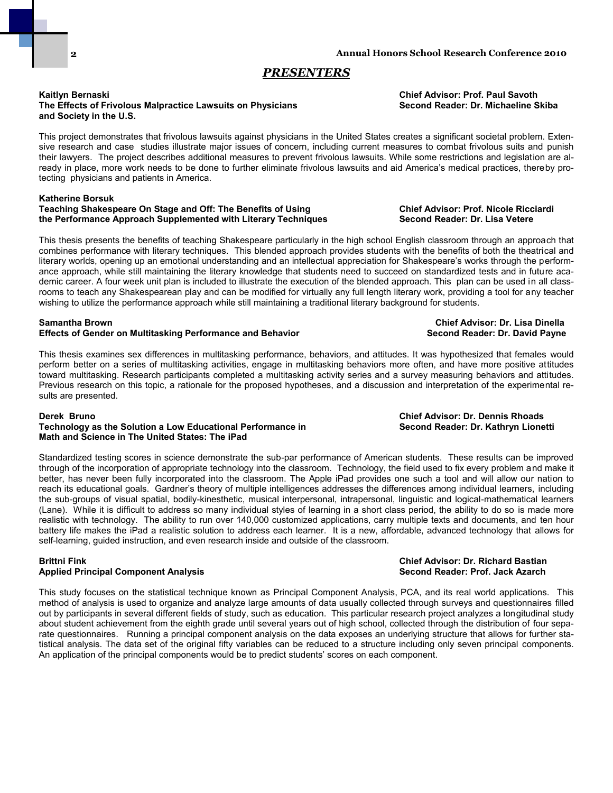**2**

### *PRESENTERS*

#### **Kaitlyn Bernaski Chief Advisor: Prof. Paul Savoth The Effects of Frivolous Malpractice Lawsuits on Physicians Second Reader: Dr. Michaeline Skiba and Society in the U.S.**

This project demonstrates that frivolous lawsuits against physicians in the United States creates a significant societal problem. Extensive research and case studies illustrate major issues of concern, including current measures to combat frivolous suits and punish their lawyers. The project describes additional measures to prevent frivolous lawsuits. While some restrictions and legislation are already in place, more work needs to be done to further eliminate frivolous lawsuits and aid America's medical practices, thereby protecting physicians and patients in America.

### **Katherine Borsuk Teaching Shakespeare On Stage and Off: The Benefits of Using Chief Advisor: Prof. Nicole Ricciardi**

This thesis presents the benefits of teaching Shakespeare particularly in the high school English classroom through an approach that combines performance with literary techniques. This blended approach provides students with the benefits of both the theatrical and literary worlds, opening up an emotional understanding and an intellectual appreciation for Shakespeare's works through the performance approach, while still maintaining the literary knowledge that students need to succeed on standardized tests and in future academic career. A four week unit plan is included to illustrate the execution of the blended approach. This plan can be used in all classrooms to teach any Shakespearean play and can be modified for virtually any full length literary work, providing a tool for any teacher wishing to utilize the performance approach while still maintaining a traditional literary background for students.

#### **Samantha Brown Chief Advisor: Dr. Lisa Dinella Effects of Gender on Multitasking Performance and Behavior Second Reader: Dr. David Payne**

This thesis examines sex differences in multitasking performance, behaviors, and attitudes. It was hypothesized that females would perform better on a series of multitasking activities, engage in multitasking behaviors more often, and have more positive attitudes toward multitasking. Research participants completed a multitasking activity series and a survey measuring behaviors and attitudes. Previous research on this topic, a rationale for the proposed hypotheses, and a discussion and interpretation of the experimental results are presented.

#### **Derek Bruno Chief Advisor: Dr. Dennis Rhoads**

### **Technology as the Solution a Low Educational Performance in Second Reader: Dr. Kathryn Lionetti Math and Science in The United States: The iPad**

Standardized testing scores in science demonstrate the sub-par performance of American students. These results can be improved through of the incorporation of appropriate technology into the classroom. Technology, the field used to fix every problem and make it better, has never been fully incorporated into the classroom. The Apple iPad provides one such a tool and will allow our nation to reach its educational goals. Gardner's theory of multiple intelligences addresses the differences among individual learners, including the sub-groups of visual spatial, bodily-kinesthetic, musical interpersonal, intrapersonal, linguistic and logical-mathematical learners (Lane). While it is difficult to address so many individual styles of learning in a short class period, the ability to do so is made more realistic with technology. The ability to run over 140,000 customized applications, carry multiple texts and documents, and ten hour battery life makes the iPad a realistic solution to address each learner. It is a new, affordable, advanced technology that allows for self-learning, guided instruction, and even research inside and outside of the classroom.

### **Brittni Fink Chief Advisor: Dr. Richard Bastian Applied Principal Component Analysis**

This study focuses on the statistical technique known as Principal Component Analysis, PCA, and its real world applications. This method of analysis is used to organize and analyze large amounts of data usually collected through surveys and questionnaires filled out by participants in several different fields of study, such as education. This particular research project analyzes a longitudinal study about student achievement from the eighth grade until several years out of high school, collected through the distribution of four separate questionnaires. Running a principal component analysis on the data exposes an underlying structure that allows for further statistical analysis. The data set of the original fifty variables can be reduced to a structure including only seven principal components. An application of the principal components would be to predict students' scores on each component.

## **the Performance Approach Supplemented with Literary Techniques Second Reader: Dr. Lisa Vetere**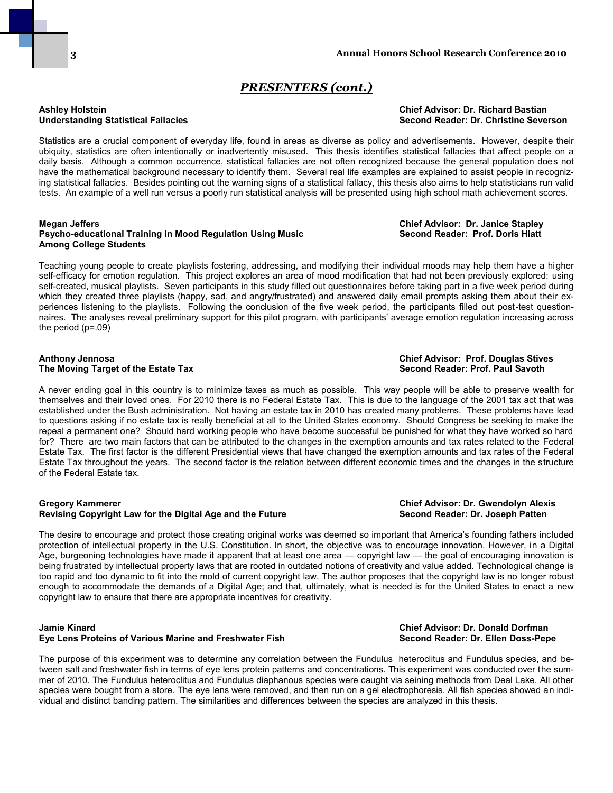### *PRESENTERS (cont.)*

### **Ashley Holstein Chief Advisor: Dr. Richard Bastian Understanding Statistical Fallacies Second Reader: Dr. Christine Severson**

Statistics are a crucial component of everyday life, found in areas as diverse as policy and advertisements. However, despite their ubiquity, statistics are often intentionally or inadvertently misused. This thesis identifies statistical fallacies that affect people on a daily basis. Although a common occurrence, statistical fallacies are not often recognized because the general population does not have the mathematical background necessary to identify them. Several real life examples are explained to assist people in recognizing statistical fallacies. Besides pointing out the warning signs of a statistical fallacy, this thesis also aims to help statisticians run valid tests. An example of a well run versus a poorly run statistical analysis will be presented using high school math achievement scores.

#### **Megan Jeffers Chief Advisor: Dr. Janice Stapley Psycho-educational Training in Mood Regulation Using Music Among College Students**

Teaching young people to create playlists fostering, addressing, and modifying their individual moods may help them have a higher self-efficacy for emotion regulation. This project explores an area of mood modification that had not been previously explored: using self-created, musical playlists. Seven participants in this study filled out questionnaires before taking part in a five week period during which they created three playlists (happy, sad, and angry/frustrated) and answered daily email prompts asking them about their experiences listening to the playlists. Following the conclusion of the five week period, the participants filled out post-test questionnaires. The analyses reveal preliminary support for this pilot program, with participants' average emotion regulation increasing across the period  $(p=.09)$ 

### **Anthony Jennosa Chief Advisor: Prof. Douglas Stives The Moving Target of the Estate Tax**

A never ending goal in this country is to minimize taxes as much as possible. This way people will be able to preserve wealth for themselves and their loved ones. For 2010 there is no Federal Estate Tax. This is due to the language of the 2001 tax act that was established under the Bush administration. Not having an estate tax in 2010 has created many problems. These problems have lead to questions asking if no estate tax is really beneficial at all to the United States economy. Should Congress be seeking to make the repeal a permanent one? Should hard working people who have become successful be punished for what they have worked so hard for? There are two main factors that can be attributed to the changes in the exemption amounts and tax rates related to the Federal Estate Tax. The first factor is the different Presidential views that have changed the exemption amounts and tax rates of the Federal Estate Tax throughout the years. The second factor is the relation between different economic times and the changes in the structure of the Federal Estate tax.

#### **Gregory Kammerer Chief Advisor: Dr. Gwendolyn Alexis Revising Copyright Law for the Digital Age and the Future**

The desire to encourage and protect those creating original works was deemed so important that America's founding fathers included protection of intellectual property in the U.S. Constitution. In short, the objective was to encourage innovation. However, in a Digital Age, burgeoning technologies have made it apparent that at least one area — copyright law — the goal of encouraging innovation is being frustrated by intellectual property laws that are rooted in outdated notions of creativity and value added. Technological change is too rapid and too dynamic to fit into the mold of current copyright law. The author proposes that the copyright law is no longer robust enough to accommodate the demands of a Digital Age; and that, ultimately, what is needed is for the United States to enact a new copyright law to ensure that there are appropriate incentives for creativity.

### **Jamie Kinard Chief Advisor: Dr. Donald Dorfman Eye Lens Proteins of Various Marine and Freshwater Fish**

The purpose of this experiment was to determine any correlation between the Fundulus heteroclitus and Fundulus species, and between salt and freshwater fish in terms of eye lens protein patterns and concentrations. This experiment was conducted over the summer of 2010. The Fundulus heteroclitus and Fundulus diaphanous species were caught via seining methods from Deal Lake. All other species were bought from a store. The eye lens were removed, and then run on a gel electrophoresis. All fish species showed an individual and distinct banding pattern. The similarities and differences between the species are analyzed in this thesis.